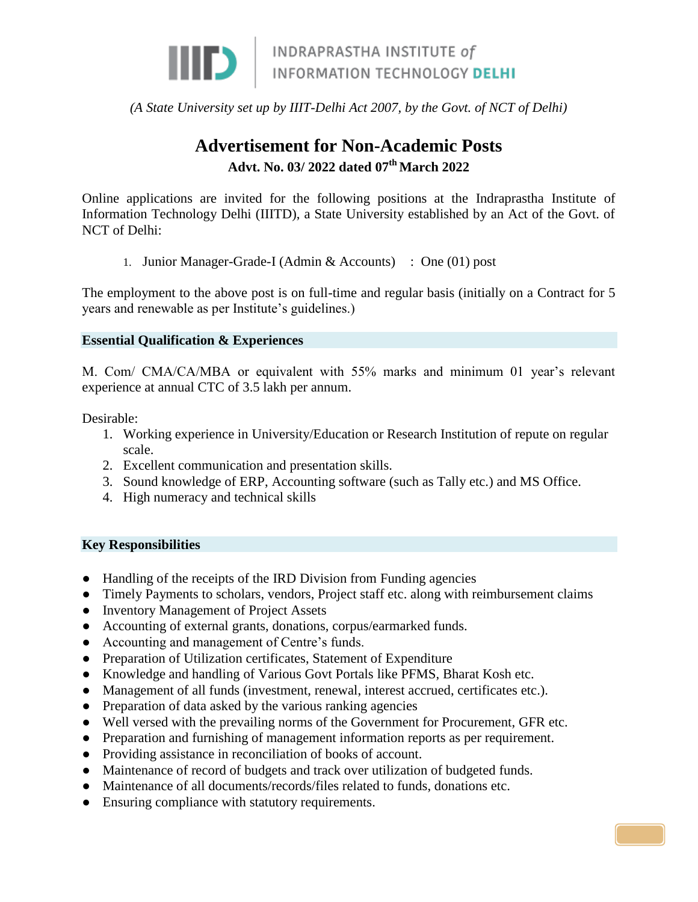

## *(A State University set up by IIIT-Delhi Act 2007, by the Govt. of NCT of Delhi)*

# **Advertisement for Non-Academic Posts Advt. No. 03/ 2022 dated 07th March 2022**

Online applications are invited for the following positions at the Indraprastha Institute of Information Technology Delhi (IIITD), a State University established by an Act of the Govt. of NCT of Delhi:

1. Junior Manager-Grade-I (Admin & Accounts) : One (01) post

The employment to the above post is on full-time and regular basis (initially on a Contract for 5 years and renewable as per Institute's guidelines.)

## **Essential Qualification & Experiences**

M. Com/ CMA/CA/MBA or equivalent with 55% marks and minimum 01 year's relevant experience at annual CTC of 3.5 lakh per annum.

Desirable:

- 1. Working experience in University/Education or Research Institution of repute on regular scale.
- 2. Excellent communication and presentation skills.
- 3. Sound knowledge of ERP, Accounting software (such as Tally etc.) and MS Office.
- 4. High numeracy and technical skills

## **Key Responsibilities**

- Handling of the receipts of the IRD Division from Funding agencies
- Timely Payments to scholars, vendors, Project staff etc. along with reimbursement claims
- Inventory Management of Project Assets
- Accounting of external grants, donations, corpus/earmarked funds.
- Accounting and management of Centre's funds.
- Preparation of Utilization certificates, Statement of Expenditure
- Knowledge and handling of Various Govt Portals like PFMS, Bharat Kosh etc.
- Management of all funds (investment, renewal, interest accrued, certificates etc.).
- Preparation of data asked by the various ranking agencies
- Well versed with the prevailing norms of the Government for Procurement, GFR etc.

PAG

- Preparation and furnishing of management information reports as per requirement.
- Providing assistance in reconciliation of books of account.
- Maintenance of record of budgets and track over utilization of budgeted funds.
- Maintenance of all documents/records/files related to funds, donations etc.
- Ensuring compliance with statutory requirements.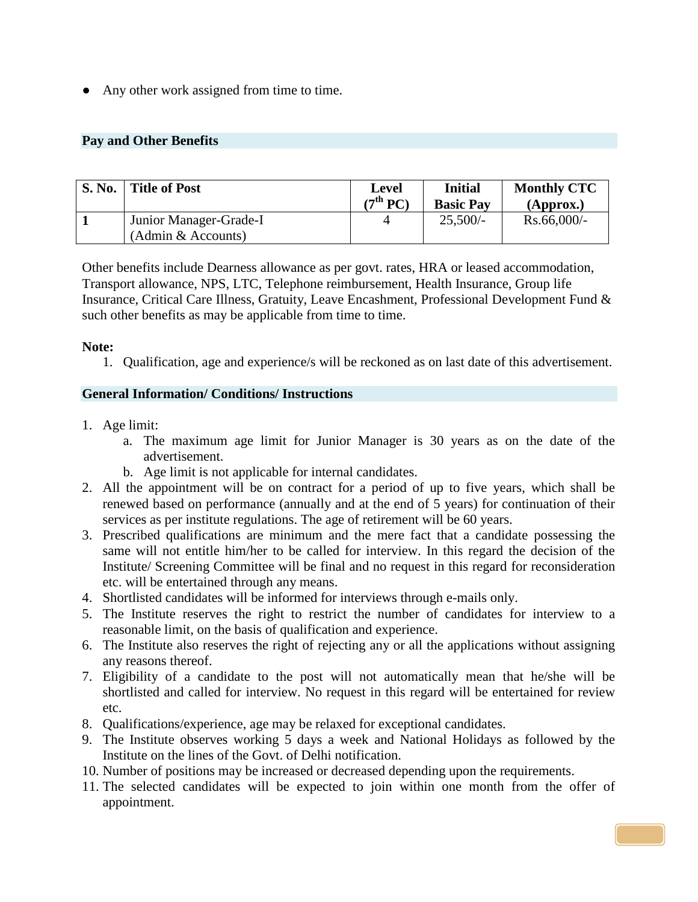• Any other work assigned from time to time.

## **Pay and Other Benefits**

| <b>S. No.</b> | <b>Title of Post</b>   | Level<br>(7 <sup>th</sup> PC) | <b>Initial</b><br><b>Basic Pay</b> | <b>Monthly CTC</b><br>(Approx.) |
|---------------|------------------------|-------------------------------|------------------------------------|---------------------------------|
|               | Junior Manager-Grade-I |                               | $25,500/-$                         | $Rs.66,000/$ -                  |
|               | (Admin & Accounts)     |                               |                                    |                                 |

Other benefits include Dearness allowance as per govt. rates, HRA or leased accommodation, Transport allowance, NPS, LTC, Telephone reimbursement, Health Insurance, Group life Insurance, Critical Care Illness, Gratuity, Leave Encashment, Professional Development Fund & such other benefits as may be applicable from time to time.

## **Note:**

1. Qualification, age and experience/s will be reckoned as on last date of this advertisement.

## **General Information/ Conditions/ Instructions**

- 1. Age limit:
	- a. The maximum age limit for Junior Manager is 30 years as on the date of the advertisement.
	- b. Age limit is not applicable for internal candidates.
- 2. All the appointment will be on contract for a period of up to five years, which shall be renewed based on performance (annually and at the end of 5 years) for continuation of their services as per institute regulations. The age of retirement will be 60 years.
- 3. Prescribed qualifications are minimum and the mere fact that a candidate possessing the same will not entitle him/her to be called for interview. In this regard the decision of the Institute/ Screening Committee will be final and no request in this regard for reconsideration etc. will be entertained through any means.
- 4. Shortlisted candidates will be informed for interviews through e-mails only.
- 5. The Institute reserves the right to restrict the number of candidates for interview to a reasonable limit, on the basis of qualification and experience.
- 6. The Institute also reserves the right of rejecting any or all the applications without assigning any reasons thereof.
- 7. Eligibility of a candidate to the post will not automatically mean that he/she will be shortlisted and called for interview. No request in this regard will be entertained for review etc.
- 8. Qualifications/experience, age may be relaxed for exceptional candidates.
- 9. The Institute observes working 5 days a week and National Holidays as followed by the Institute on the lines of the Govt. of Delhi notification.
- 10. Number of positions may be increased or decreased depending upon the requirements.
- 11. The selected candidates will be expected to join within one month from the offer of appointment.

PAG